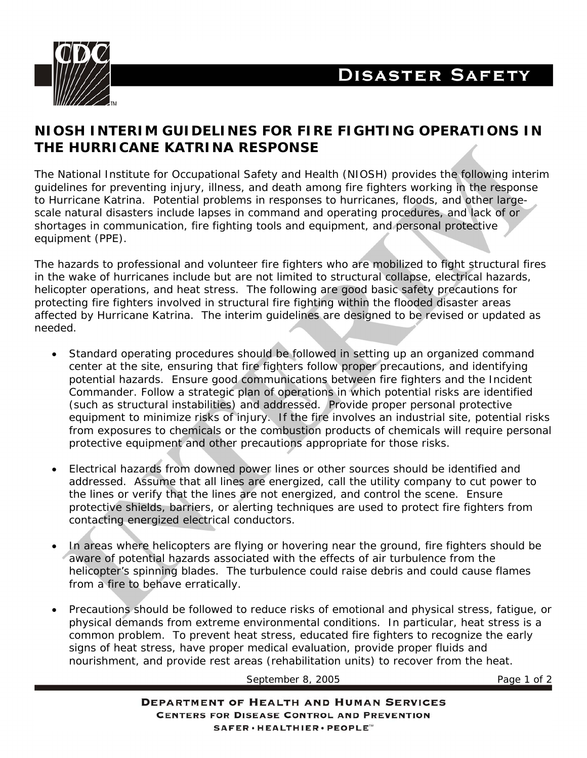



## **NIOSH INTERIM GUIDELINES FOR FIRE FIGHTING OPERATIONS IN THE HURRICANE KATRINA RESPONSE**

The National Institute for Occupational Safety and Health (NIOSH) provides the following interim guidelines for preventing injury, illness, and death among fire fighters working in the response to Hurricane Katrina. Potential problems in responses to hurricanes, floods, and other largescale natural disasters include lapses in command and operating procedures, and lack of or shortages in communication, fire fighting tools and equipment, and personal protective equipment (PPE).

The hazards to professional and volunteer fire fighters who are mobilized to fight structural fires in the wake of hurricanes include but are not limited to structural collapse, electrical hazards, helicopter operations, and heat stress. The following are good basic safety precautions for protecting fire fighters involved in structural fire fighting within the flooded disaster areas affected by Hurricane Katrina. The interim guidelines are designed to be revised or updated as needed.

- Standard operating procedures should be followed in setting up an organized command center at the site, ensuring that fire fighters follow proper precautions, and identifying potential hazards. Ensure good communications between fire fighters and the Incident Commander. Follow a strategic plan of operations in which potential risks are identified (such as structural instabilities) and addressed. Provide proper personal protective equipment to minimize risks of injury. If the fire involves an industrial site, potential risks from exposures to chemicals or the combustion products of chemicals will require personal protective equipment and other precautions appropriate for those risks.
- Electrical hazards from downed power lines or other sources should be identified and addressed. Assume that all lines are energized, call the utility company to cut power to the lines or verify that the lines are not energized, and control the scene. Ensure protective shields, barriers, or alerting techniques are used to protect fire fighters from contacting energized electrical conductors.
- In areas where helicopters are flying or hovering near the ground, fire fighters should be aware of potential hazards associated with the effects of air turbulence from the helicopter's spinning blades. The turbulence could raise debris and could cause flames from a fire to behave erratically.
- Precautions should be followed to reduce risks of emotional and physical stress, fatigue, or physical demands from extreme environmental conditions. In particular, heat stress is a common problem. To prevent heat stress, educated fire fighters to recognize the early signs of heat stress, have proper medical evaluation, provide proper fluids and nourishment, and provide rest areas (rehabilitation units) to recover from the heat.

September 8, 2005 Page 1 of 2

**DEPARTMENT OF HEALTH AND HUMAN SERVICES CENTERS FOR DISEASE CONTROL AND PREVENTION**  $\texttt{SAFER} \cdot \texttt{HEALTHIER} \cdot \texttt{PEOPLE}^{\mathsf{w}}$